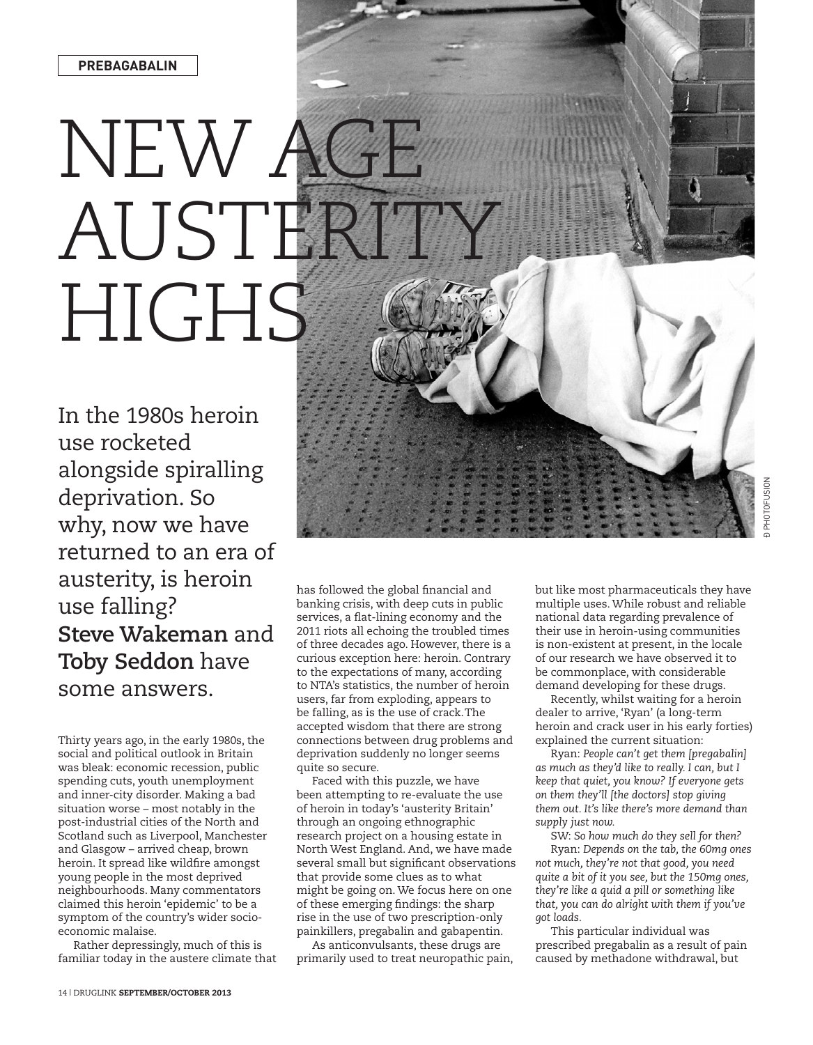## NEW A AUSTERT HIGHS

In the 1980s heroin use rocketed alongside spiralling deprivation. So why, now we have returned to an era of austerity, is heroin use falling? **Steve Wakeman** and **Toby Seddon** have some answers.

Thirty years ago, in the early 1980s, the social and political outlook in Britain was bleak: economic recession, public spending cuts, youth unemployment and inner-city disorder. Making a bad situation worse – most notably in the post-industrial cities of the North and Scotland such as Liverpool, Manchester and Glasgow – arrived cheap, brown heroin. It spread like wildfire amongst young people in the most deprived neighbourhoods. Many commentators claimed this heroin 'epidemic' to be a symptom of the country's wider socioeconomic malaise.

Rather depressingly, much of this is familiar today in the austere climate that has followed the global financial and banking crisis, with deep cuts in public services, a flat-lining economy and the 2011 riots all echoing the troubled times of three decades ago. However, there is a curious exception here: heroin. Contrary to the expectations of many, according to NTA's statistics, the number of heroin users, far from exploding, appears to be falling, as is the use of crack.The accepted wisdom that there are strong connections between drug problems and deprivation suddenly no longer seems quite so secure.

Faced with this puzzle, we have been attempting to re-evaluate the use of heroin in today's 'austerity Britain' through an ongoing ethnographic research project on a housing estate in North West England. And, we have made several small but significant observations that provide some clues as to what might be going on. We focus here on one of these emerging findings: the sharp rise in the use of two prescription-only painkillers, pregabalin and gabapentin.

As anticonvulsants, these drugs are primarily used to treat neuropathic pain, but like most pharmaceuticals they have multiple uses. While robust and reliable national data regarding prevalence of their use in heroin-using communities is non-existent at present, in the locale of our research we have observed it to be commonplace, with considerable demand developing for these drugs.

Recently, whilst waiting for a heroin dealer to arrive, 'Ryan' (a long-term heroin and crack user in his early forties) explained the current situation:

Ryan: *People can't get them [pregabalin] as much as they'd like to really. I can, but I keep that quiet, you know? If everyone gets on them they'll [the doctors] stop giving them out. It's like there's more demand than supply just now.*

SW: *So how much do they sell for then?* Ryan: *Depends on the tab, the 60mg ones not much, they're not that good, you need quite a bit of it you see, but the 150mg ones, they're like a quid a pill or something like that, you can do alright with them if you've got loads.*

This particular individual was prescribed pregabalin as a result of pain caused by methadone withdrawal, but